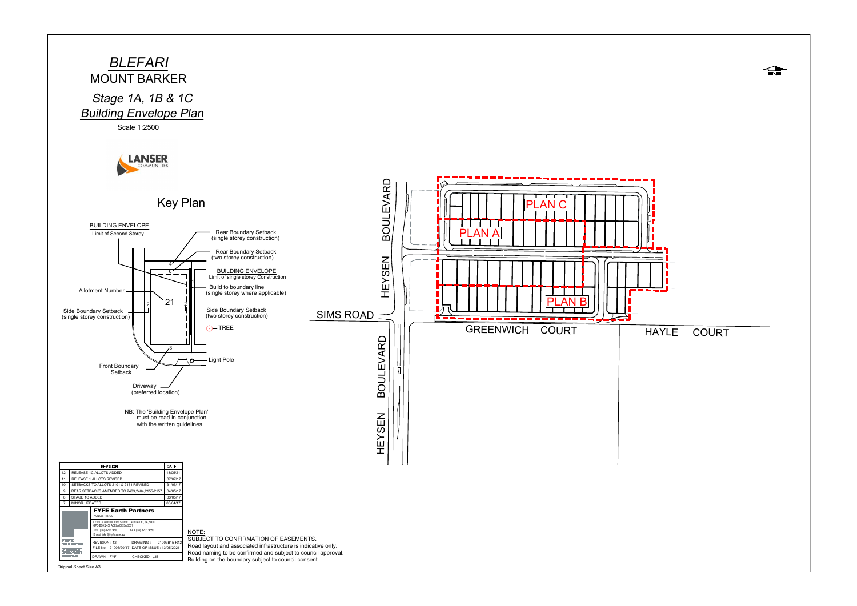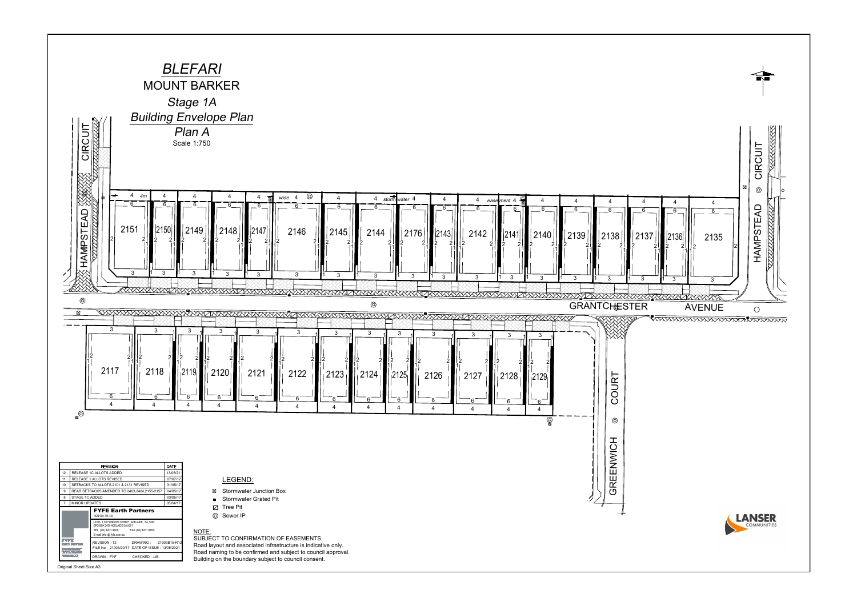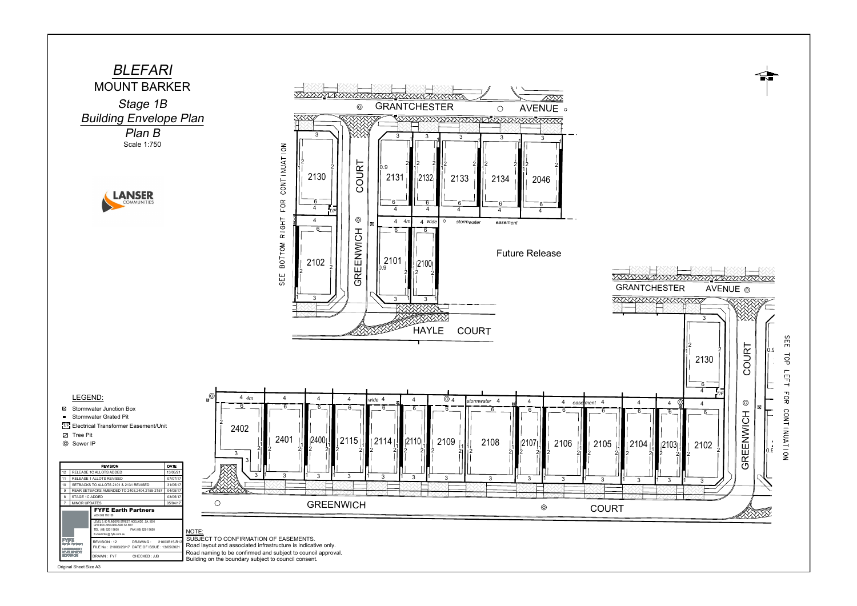